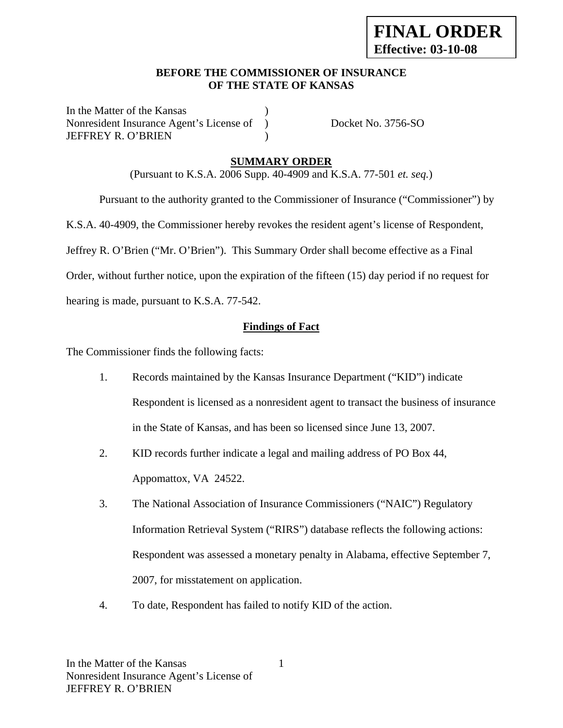### **BEFORE THE COMMISSIONER OF INSURANCE OF THE STATE OF KANSAS**

In the Matter of the Kansas Nonresident Insurance Agent's License of ) Docket No. 3756-SO JEFFREY R. O'BRIEN )

## **SUMMARY ORDER**

(Pursuant to K.S.A. 2006 Supp. 40-4909 and K.S.A. 77-501 *et. seq.*)

 Pursuant to the authority granted to the Commissioner of Insurance ("Commissioner") by K.S.A. 40-4909, the Commissioner hereby revokes the resident agent's license of Respondent, Jeffrey R. O'Brien ("Mr. O'Brien"). This Summary Order shall become effective as a Final Order, without further notice, upon the expiration of the fifteen (15) day period if no request for hearing is made, pursuant to K.S.A. 77-542.

### **Findings of Fact**

The Commissioner finds the following facts:

- 1. Records maintained by the Kansas Insurance Department ("KID") indicate Respondent is licensed as a nonresident agent to transact the business of insurance in the State of Kansas, and has been so licensed since June 13, 2007.
- 2. KID records further indicate a legal and mailing address of PO Box 44, Appomattox, VA 24522.
- 3. The National Association of Insurance Commissioners ("NAIC") Regulatory Information Retrieval System ("RIRS") database reflects the following actions: Respondent was assessed a monetary penalty in Alabama, effective September 7, 2007, for misstatement on application.
- 4. To date, Respondent has failed to notify KID of the action.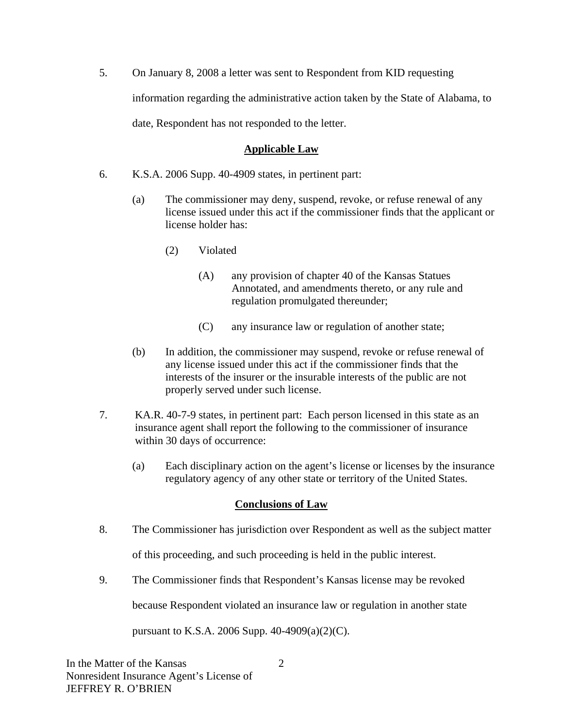5. On January 8, 2008 a letter was sent to Respondent from KID requesting information regarding the administrative action taken by the State of Alabama, to date, Respondent has not responded to the letter.

## **Applicable Law**

- 6. K.S.A. 2006 Supp. 40-4909 states, in pertinent part:
	- (a) The commissioner may deny, suspend, revoke, or refuse renewal of any license issued under this act if the commissioner finds that the applicant or license holder has:
		- (2) Violated
			- (A) any provision of chapter 40 of the Kansas Statues Annotated, and amendments thereto, or any rule and regulation promulgated thereunder;
			- (C) any insurance law or regulation of another state;
	- (b) In addition, the commissioner may suspend, revoke or refuse renewal of any license issued under this act if the commissioner finds that the interests of the insurer or the insurable interests of the public are not properly served under such license.
- 7. KA.R. 40-7-9 states, in pertinent part: Each person licensed in this state as an insurance agent shall report the following to the commissioner of insurance within 30 days of occurrence:
	- (a) Each disciplinary action on the agent's license or licenses by the insurance regulatory agency of any other state or territory of the United States.

# **Conclusions of Law**

8. The Commissioner has jurisdiction over Respondent as well as the subject matter

of this proceeding, and such proceeding is held in the public interest.

9. The Commissioner finds that Respondent's Kansas license may be revoked

because Respondent violated an insurance law or regulation in another state

pursuant to K.S.A. 2006 Supp. 40-4909(a)(2)(C).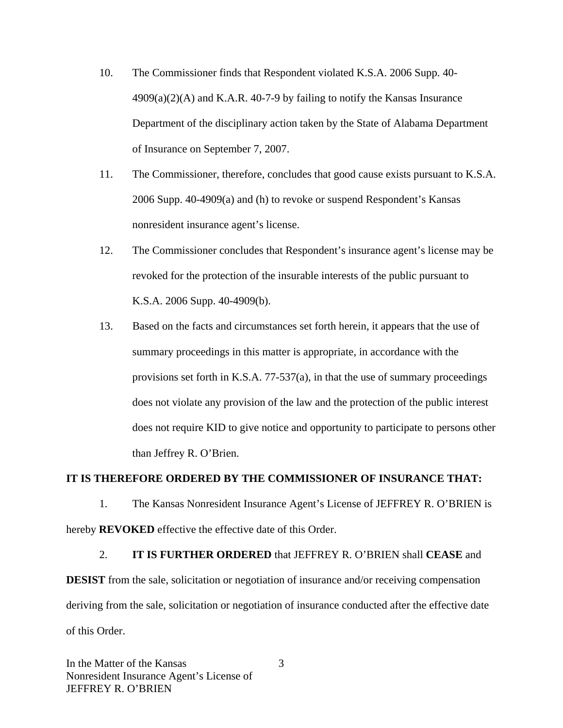- 10. The Commissioner finds that Respondent violated K.S.A. 2006 Supp. 40-  $4909(a)(2)$ (A) and K.A.R. 40-7-9 by failing to notify the Kansas Insurance Department of the disciplinary action taken by the State of Alabama Department of Insurance on September 7, 2007.
- 11. The Commissioner, therefore, concludes that good cause exists pursuant to K.S.A. 2006 Supp. 40-4909(a) and (h) to revoke or suspend Respondent's Kansas nonresident insurance agent's license.
- 12. The Commissioner concludes that Respondent's insurance agent's license may be revoked for the protection of the insurable interests of the public pursuant to K.S.A. 2006 Supp. 40-4909(b).
- 13. Based on the facts and circumstances set forth herein, it appears that the use of summary proceedings in this matter is appropriate, in accordance with the provisions set forth in K.S.A. 77-537(a), in that the use of summary proceedings does not violate any provision of the law and the protection of the public interest does not require KID to give notice and opportunity to participate to persons other than Jeffrey R. O'Brien.

#### **IT IS THEREFORE ORDERED BY THE COMMISSIONER OF INSURANCE THAT:**

1. The Kansas Nonresident Insurance Agent's License of JEFFREY R. O'BRIEN is hereby **REVOKED** effective the effective date of this Order.

2. **IT IS FURTHER ORDERED** that JEFFREY R. O'BRIEN shall **CEASE** and **DESIST** from the sale, solicitation or negotiation of insurance and/or receiving compensation deriving from the sale, solicitation or negotiation of insurance conducted after the effective date of this Order.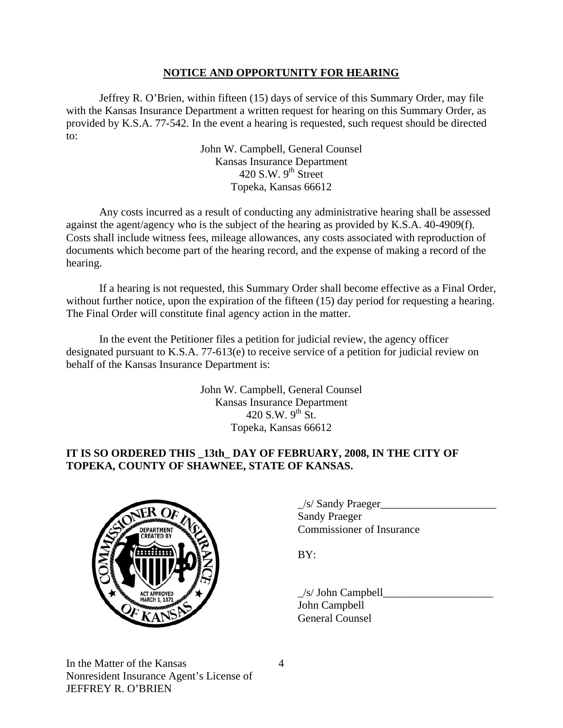### **NOTICE AND OPPORTUNITY FOR HEARING**

Jeffrey R. O'Brien, within fifteen (15) days of service of this Summary Order, may file with the Kansas Insurance Department a written request for hearing on this Summary Order, as provided by K.S.A. 77-542. In the event a hearing is requested, such request should be directed to:

> John W. Campbell, General Counsel Kansas Insurance Department 420 S.W.  $9<sup>th</sup>$  Street Topeka, Kansas 66612

Any costs incurred as a result of conducting any administrative hearing shall be assessed against the agent/agency who is the subject of the hearing as provided by K.S.A. 40-4909(f). Costs shall include witness fees, mileage allowances, any costs associated with reproduction of documents which become part of the hearing record, and the expense of making a record of the hearing.

If a hearing is not requested, this Summary Order shall become effective as a Final Order, without further notice, upon the expiration of the fifteen (15) day period for requesting a hearing. The Final Order will constitute final agency action in the matter.

In the event the Petitioner files a petition for judicial review, the agency officer designated pursuant to K.S.A. 77-613(e) to receive service of a petition for judicial review on behalf of the Kansas Insurance Department is:

> John W. Campbell, General Counsel Kansas Insurance Department 420 S.W.  $9^{th}$  St. Topeka, Kansas 66612

## **IT IS SO ORDERED THIS \_13th\_ DAY OF FEBRUARY, 2008, IN THE CITY OF TOPEKA, COUNTY OF SHAWNEE, STATE OF KANSAS.**



|                                                                              | /s/ Sandy Praeger         |
|------------------------------------------------------------------------------|---------------------------|
| $\sim$ $\sim$ $\sim$ $\sim$ $\sim$<br><b>DEPARTMENT</b><br><b>CREATED BY</b> | <b>Sandy Praeger</b>      |
|                                                                              | Commissioner of Insurance |

 $/s/$  John Campbell John Campbell General Counsel

In the Matter of the Kansas Nonresident Insurance Agent's License of JEFFREY R. O'BRIEN

4